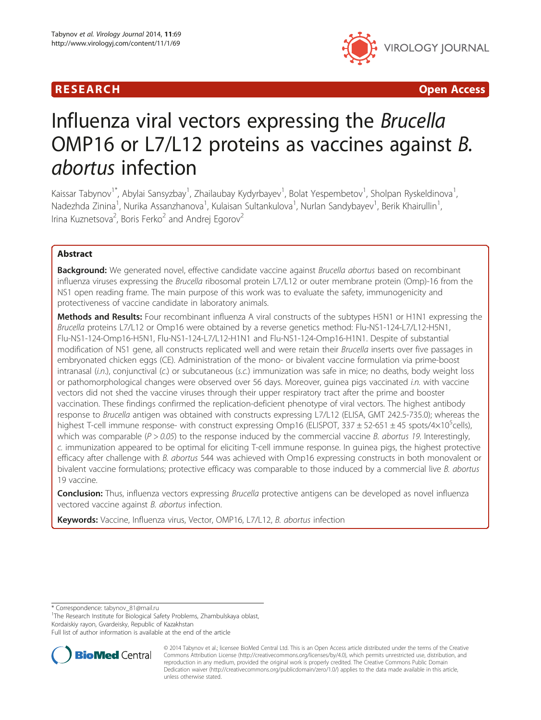



# Influenza viral vectors expressing the Brucella OMP16 or L7/L12 proteins as vaccines against B. abortus infection

Kaissar Tabynov<sup>1\*</sup>, Abylai Sansyzbay<sup>1</sup>, Zhailaubay Kydyrbayev<sup>1</sup>, Bolat Yespembetov<sup>1</sup>, Sholpan Ryskeldinova<sup>1</sup> , Nadezhda Zinina<sup>1</sup>, Nurika Assanzhanova<sup>1</sup>, Kulaisan Sultankulova<sup>1</sup>, Nurlan Sandybayev<sup>1</sup>, Berik Khairullin<sup>1</sup> , Irina Kuznetsova $^2$ , Boris Ferko $^2$  and Andrej Egorov $^2$ 

# Abstract

Background: We generated novel, effective candidate vaccine against Brucella abortus based on recombinant influenza viruses expressing the Brucella ribosomal protein L7/L12 or outer membrane protein (Omp)-16 from the NS1 open reading frame. The main purpose of this work was to evaluate the safety, immunogenicity and protectiveness of vaccine candidate in laboratory animals.

Methods and Results: Four recombinant influenza A viral constructs of the subtypes H5N1 or H1N1 expressing the Brucella proteins L7/L12 or Omp16 were obtained by a reverse genetics method: Flu-NS1-124-L7/L12-H5N1, Flu-NS1-124-Omp16-H5N1, Flu-NS1-124-L7/L12-H1N1 and Flu-NS1-124-Omp16-H1N1. Despite of substantial modification of NS1 gene, all constructs replicated well and were retain their Brucella inserts over five passages in embryonated chicken eggs (CE). Administration of the mono- or bivalent vaccine formulation via prime-boost intranasal (i.n.), conjunctival (c.) or subcutaneous (s.c.) immunization was safe in mice; no deaths, body weight loss or pathomorphological changes were observed over 56 days. Moreover, guinea pigs vaccinated i.n. with vaccine vectors did not shed the vaccine viruses through their upper respiratory tract after the prime and booster vaccination. These findings confirmed the replication-deficient phenotype of viral vectors. The highest antibody response to Brucella antigen was obtained with constructs expressing L7/L12 (ELISA, GMT 242.5-735.0); whereas the highest T-cell immune response- with construct expressing Omp16 (ELISPOT, 337 ± 52-651 ± 45 spots/4x10<sup>5</sup>cells), which was comparable ( $P > 0.05$ ) to the response induced by the commercial vaccine B, abortus 19. Interestingly, c. immunization appeared to be optimal for eliciting T-cell immune response. In guinea pigs, the highest protective efficacy after challenge with B. abortus 544 was achieved with Omp16 expressing constructs in both monovalent or bivalent vaccine formulations; protective efficacy was comparable to those induced by a commercial live B. abortus 19 vaccine.

**Conclusion:** Thus, influenza vectors expressing *Brucella* protective antigens can be developed as novel influenza vectored vaccine against B. abortus infection.

Keywords: Vaccine, Influenza virus, Vector, OMP16, L7/L12, B. abortus infection

\* Correspondence: [tabynov\\_81@mail.ru](mailto:tabynov_81@mail.ru) <sup>1</sup>

<sup>1</sup>The Research Institute for Biological Safety Problems, Zhambulskaya oblast, Kordaiskiy rayon, Gvardeisky, Republic of Kazakhstan

Full list of author information is available at the end of the article



<sup>© 2014</sup> Tabynov et al.; licensee BioMed Central Ltd. This is an Open Access article distributed under the terms of the Creative Commons Attribution License [\(http://creativecommons.org/licenses/by/4.0\)](http://creativecommons.org/licenses/by/4.0), which permits unrestricted use, distribution, and reproduction in any medium, provided the original work is properly credited. The Creative Commons Public Domain Dedication waiver [\(http://creativecommons.org/publicdomain/zero/1.0/](http://creativecommons.org/publicdomain/zero/1.0/)) applies to the data made available in this article, unless otherwise stated.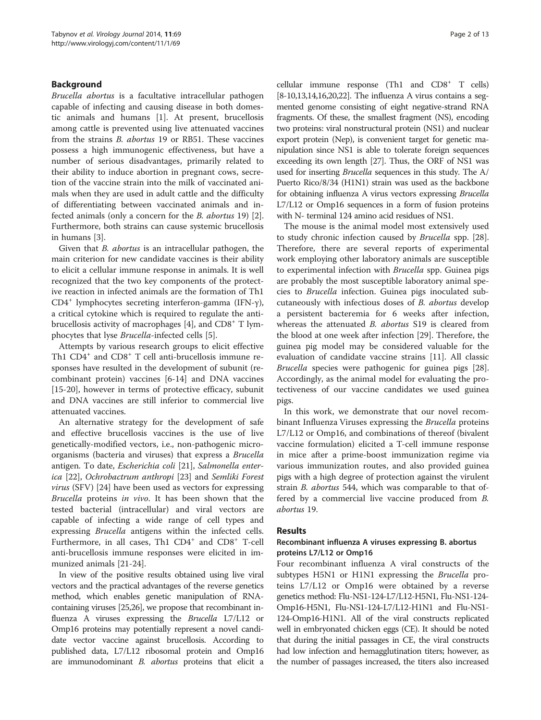#### Background

Brucella abortus is a facultative intracellular pathogen capable of infecting and causing disease in both domestic animals and humans [[1\]](#page-11-0). At present, brucellosis among cattle is prevented using live attenuated vaccines from the strains B. abortus 19 or RB51. These vaccines possess a high immunogenic effectiveness, but have a number of serious disadvantages, primarily related to their ability to induce abortion in pregnant cows, secretion of the vaccine strain into the milk of vaccinated animals when they are used in adult cattle and the difficulty of differentiating between vaccinated animals and infected animals (only a concern for the B. abortus 19) [\[2](#page-11-0)]. Furthermore, both strains can cause systemic brucellosis in humans [\[3](#page-11-0)].

Given that B. abortus is an intracellular pathogen, the main criterion for new candidate vaccines is their ability to elicit a cellular immune response in animals. It is well recognized that the two key components of the protective reaction in infected animals are the formation of Th1 CD4<sup>+</sup> lymphocytes secreting interferon-gamma (IFN-γ), a critical cytokine which is required to regulate the antibrucellosis activity of macrophages  $[4]$  $[4]$ , and CD8<sup>+</sup> T lymphocytes that lyse Brucella-infected cells [\[5](#page-11-0)].

Attempts by various research groups to elicit effective Th1 CD4<sup>+</sup> and CD8<sup>+</sup> T cell anti-brucellosis immune responses have resulted in the development of subunit (recombinant protein) vaccines [[6-14\]](#page-11-0) and DNA vaccines [[15-20](#page-11-0)], however in terms of protective efficacy, subunit and DNA vaccines are still inferior to commercial live attenuated vaccines.

An alternative strategy for the development of safe and effective brucellosis vaccines is the use of live genetically-modified vectors, i.e., non-pathogenic microorganisms (bacteria and viruses) that express a Brucella antigen. To date, Escherichia coli [[21](#page-11-0)], Salmonella enterica [\[22](#page-12-0)], Ochrobactrum anthropi [\[23\]](#page-12-0) and Semliki Forest virus (SFV) [\[24](#page-12-0)] have been used as vectors for expressing Brucella proteins in vivo. It has been shown that the tested bacterial (intracellular) and viral vectors are capable of infecting a wide range of cell types and expressing Brucella antigens within the infected cells. Furthermore, in all cases, Th1  $CD4^+$  and  $CD8^+$  T-cell anti-brucellosis immune responses were elicited in immunized animals [\[21](#page-11-0)-[24\]](#page-12-0).

In view of the positive results obtained using live viral vectors and the practical advantages of the reverse genetics method, which enables genetic manipulation of RNAcontaining viruses [\[25,26\]](#page-12-0), we propose that recombinant influenza A viruses expressing the Brucella L7/L12 or Omp16 proteins may potentially represent a novel candidate vector vaccine against brucellosis. According to published data, L7/L12 ribosomal protein and Omp16 are immunodominant B. abortus proteins that elicit a

cellular immune response (Th1 and  $CD8<sup>+</sup>$  T cells) [[8](#page-11-0)-[10,13,14,16,20,](#page-11-0)[22](#page-12-0)]. The influenza A virus contains a segmented genome consisting of eight negative-strand RNA fragments. Of these, the smallest fragment (NS), encoding two proteins: viral nonstructural protein (NS1) and nuclear export protein (Nep), is convenient target for genetic manipulation since NS1 is able to tolerate foreign sequences exceeding its own length [[27](#page-12-0)]. Thus, the ORF of NS1 was used for inserting Brucella sequences in this study. The А/ Puerto Rico/8/34 (H1N1) strain was used as the backbone for obtaining influenza A virus vectors expressing Brucella L7/L12 or Omp16 sequences in a form of fusion proteins with N- terminal 124 amino acid residues of NS1.

The mouse is the animal model most extensively used to study chronic infection caused by Brucella spp. [\[28](#page-12-0)]. Therefore, there are several reports of experimental work employing other laboratory animals are susceptible to experimental infection with Brucella spp. Guinea pigs are probably the most susceptible laboratory animal species to Brucella infection. Guinea pigs inoculated subcutaneously with infectious doses of B. abortus develop a persistent bacteremia for 6 weeks after infection, whereas the attenuated *B. abortus* S19 is cleared from the blood at one week after infection [\[29](#page-12-0)]. Therefore, the guinea pig model may be considered valuable for the evaluation of candidate vaccine strains [\[11](#page-11-0)]. All classic Brucella species were pathogenic for guinea pigs [\[28](#page-12-0)]. Accordingly, as the animal model for evaluating the protectiveness of our vaccine candidates we used guinea pigs.

In this work, we demonstrate that our novel recombinant Influenza Viruses expressing the Brucella proteins L7/L12 or Omp16, and combinations of thereof (bivalent vaccine formulation) elicited a T-cell immune response in mice after a prime-boost immunization regime via various immunization routes, and also provided guinea pigs with a high degree of protection against the virulent strain B. abortus 544, which was comparable to that offered by a commercial live vaccine produced from B. abortus 19.

#### Results

## Recombinant influenza A viruses expressing B. abortus proteins L7/L12 or Omp16

Four recombinant influenza A viral constructs of the subtypes H5N1 or H1N1 expressing the *Brucella* proteins L7/L12 or Omp16 were obtained by a reverse genetics method: Flu-NS1-124-L7/L12-H5N1, Flu-NS1-124- Omp16-H5N1, Flu-NS1-124-L7/L12-H1N1 and Flu-NS1- 124-Omp16-H1N1. All of the viral constructs replicated well in embryonated chicken eggs (CE). It should be noted that during the initial passages in CE, the viral constructs had low infection and hemagglutination titers; however, as the number of passages increased, the titers also increased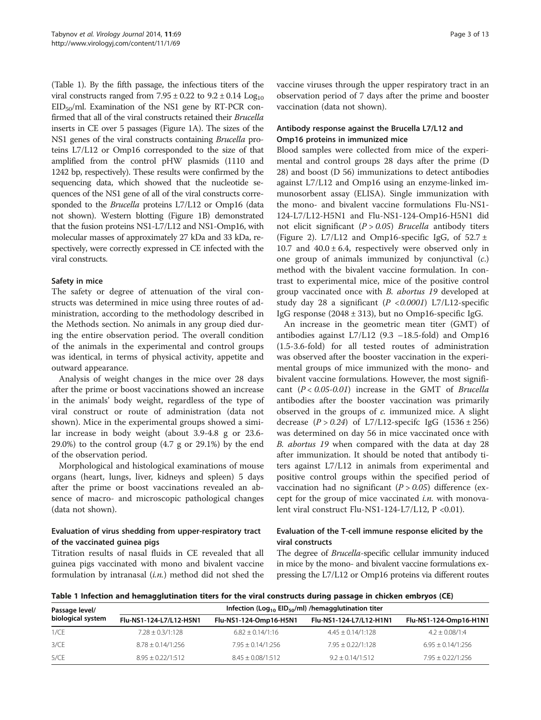(Table 1). By the fifth passage, the infectious titers of the viral constructs ranged from  $7.95 \pm 0.22$  to  $9.2 \pm 0.14$  Log<sub>10</sub>  $EID_{50}/ml$ . Examination of the NS1 gene by RT-PCR confirmed that all of the viral constructs retained their Brucella inserts in CE over 5 passages (Figure [1A](#page-3-0)). The sizes of the NS1 genes of the viral constructs containing Brucella proteins L7/L12 or Omp16 corresponded to the size of that amplified from the control pHW plasmids (1110 and 1242 bp, respectively). These results were confirmed by the sequencing data, which showed that the nucleotide sequences of the NS1 gene of all of the viral constructs corresponded to the Brucella proteins L7/L12 or Omp16 (data not shown). Western blotting (Figure [1B](#page-3-0)) demonstrated that the fusion proteins NS1-L7/L12 and NS1-Omp16, with molecular masses of approximately 27 kDa and 33 kDa, respectively, were correctly expressed in CE infected with the viral constructs.

## Safety in mice

The safety or degree of attenuation of the viral constructs was determined in mice using three routes of administration, according to the methodology described in the [Methods](#page-7-0) section. No animals in any group died during the entire observation period. The overall condition of the animals in the experimental and control groups was identical, in terms of physical activity, appetite and outward appearance.

Analysis of weight changes in the mice over 28 days after the prime or boost vaccinations showed an increase in the animals' body weight, regardless of the type of viral construct or route of administration (data not shown). Mice in the experimental groups showed a similar increase in body weight (about 3.9-4.8 g or 23.6- 29.0%) to the control group (4.7 g or 29.1%) by the end of the observation period.

Morphological and histological examinations of mouse organs (heart, lungs, liver, kidneys and spleen) 5 days after the prime or boost vaccinations revealed an absence of macro- and microscopic pathological changes (data not shown).

## Evaluation of virus shedding from upper-respiratory tract of the vaccinated guinea pigs

Titration results of nasal fluids in CE revealed that all guinea pigs vaccinated with mono and bivalent vaccine formulation by intranasal  $(i.n.)$  method did not shed the vaccine viruses through the upper respiratory tract in an observation period of 7 days after the prime and booster vaccination (data not shown).

## Antibody response against the Brucella L7/L12 and Omp16 proteins in immunized mice

Blood samples were collected from mice of the experimental and control groups 28 days after the prime (D 28) and boost (D 56) immunizations to detect antibodies against L7/L12 and Omp16 using an enzyme-linked immunosorbent assay (ELISA). Single immunization with the mono- and bivalent vaccine formulations Flu-NS1- 124-L7/L12-H5N1 and Flu-NS1-124-Omp16-H5N1 did not elicit significant  $(P > 0.05)$  *Brucella* antibody titers (Figure [2](#page-3-0)). L7/L12 and Omp16-specific IgG, of  $52.7 \pm$ 10.7 and  $40.0 \pm 6.4$ , respectively were observed only in one group of animals immunized by conjunctival  $(c.)$ method with the bivalent vaccine formulation. In contrast to experimental mice, mice of the positive control group vaccinated once with B. abortus 19 developed at study day 28 a significant ( $P < 0.0001$ ) L7/L12-specific IgG response  $(2048 \pm 313)$ , but no Omp16-specific IgG.

An increase in the geometric mean titer (GMT) of antibodies against L7/L12 (9.3 –18.5-fold) and Omp16 (1.5-3.6-fold) for all tested routes of administration was observed after the booster vaccination in the experimental groups of mice immunized with the mono- and bivalent vaccine formulations. However, the most significant  $(P < 0.05 - 0.01)$  increase in the GMT of *Brucella* antibodies after the booster vaccination was primarily observed in the groups of c. immunized mice. A slight decrease  $(P > 0.24)$  of L7/L12-specifc IgG  $(1536 \pm 256)$ was determined on day 56 in mice vaccinated once with B. abortus 19 when compared with the data at day 28 after immunization. It should be noted that antibody titers against L7/L12 in animals from experimental and positive control groups within the specified period of vaccination had no significant  $(P > 0.05)$  difference (except for the group of mice vaccinated  $i.n.$  with monovalent viral construct  $Flu-NS1-124-L7/L12$ ,  $P < 0.01$ ).

## Evaluation of the T-cell immune response elicited by the viral constructs

The degree of *Brucella*-specific cellular immunity induced in mice by the mono- and bivalent vaccine formulations expressing the L7/L12 or Omp16 proteins via different routes

Table 1 Infection and hemagglutination titers for the viral constructs during passage in chicken embryos (CE)

| Passage level/    | Infection (Log <sub>10</sub> EID <sub>50</sub> /ml) /hemagglutination titer |                        |                         |                        |  |  |
|-------------------|-----------------------------------------------------------------------------|------------------------|-------------------------|------------------------|--|--|
| biological system | Flu-NS1-124-L7/L12-H5N1                                                     | Flu-NS1-124-Omp16-H5N1 | Flu-NS1-124-L7/L12-H1N1 | Flu-NS1-124-Omp16-H1N1 |  |  |
| 1/CE              | $7.28 \pm 0.3/1:128$                                                        | $6.82 \pm 0.14/1:16$   | $4.45 \pm 0.14/1:128$   | $4.2 \pm 0.08/1:4$     |  |  |
| 3/CE              | $8.78 \pm 0.14/1:256$                                                       | $7.95 \pm 0.14/1:256$  | $7.95 + 0.22/1:128$     | $6.95 \pm 0.14/1:256$  |  |  |
| 5/CE              | $8.95 + 0.22/1:512$                                                         | $8.45 \pm 0.08/1:512$  | $9.2 + 0.14/1:512$      | $7.95 \pm 0.22/1:256$  |  |  |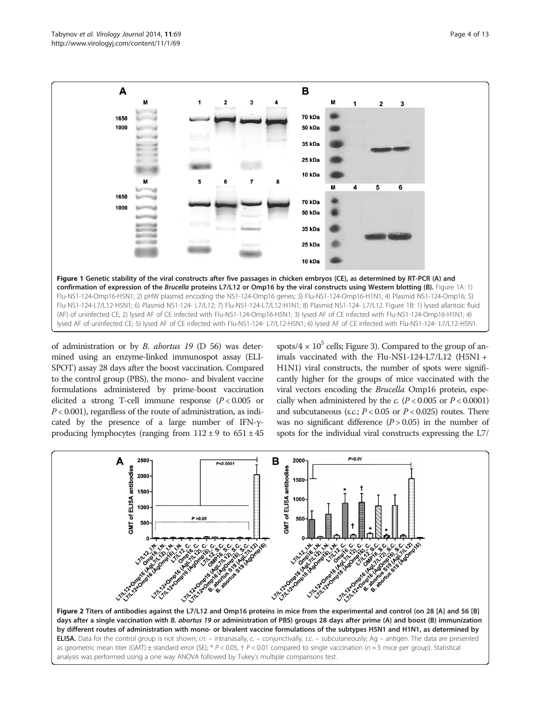<span id="page-3-0"></span>

of administration or by B. abortus 19 (D 56) was determined using an enzyme-linked immunospot assay (ELI-SPOT) assay 28 days after the boost vaccination. Compared to the control group (PBS), the mono- and bivalent vaccine formulations administered by prime-boost vaccination elicited a strong T-cell immune response  $(P < 0.005$  or  $P < 0.001$ ), regardless of the route of administration, as indicated by the presence of a large number of IFN-γproducing lymphocytes (ranging from  $112 \pm 9$  to  $651 \pm 45$ ) spots/4  $\times$  10<sup>5</sup> cells; Figure [3\)](#page-4-0). Compared to the group of animals vaccinated with the Flu-NS1-124-L7/L12 (Н5N1 + H1N1) viral constructs, the number of spots were significantly higher for the groups of mice vaccinated with the viral vectors encoding the Brucella Omp16 protein, especially when administered by the c.  $(P < 0.005$  or  $P < 0.0001$ ) and subcutaneous (s.c.;  $P < 0.05$  or  $P < 0.025$ ) routes. There was no significant difference  $(P > 0.05)$  in the number of spots for the individual viral constructs expressing the L7/

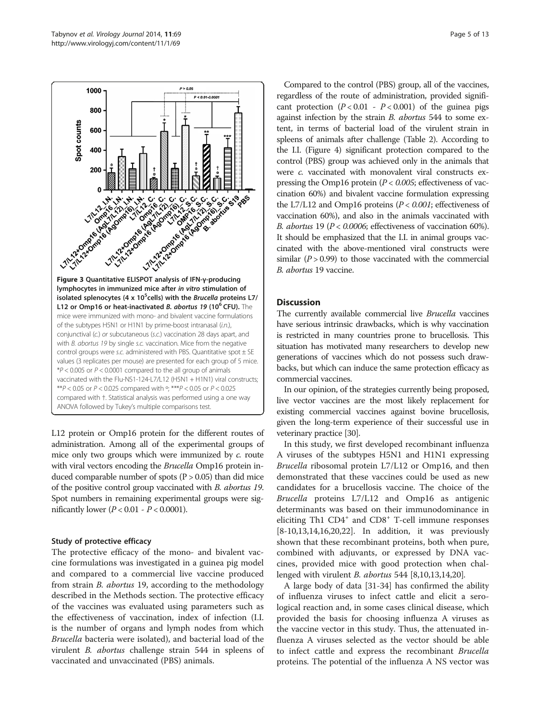<span id="page-4-0"></span>

L12 protein or Omp16 protein for the different routes of administration. Among all of the experimental groups of mice only two groups which were immunized by c. route with viral vectors encoding the Brucella Omp16 protein induced comparable number of spots ( $P > 0.05$ ) than did mice of the positive control group vaccinated with B. abortus 19. Spot numbers in remaining experimental groups were significantly lower ( $P < 0.01 - P < 0.0001$ ).

#### Study of protective efficacy

The protective efficacy of the mono- and bivalent vaccine formulations was investigated in a guinea pig model and compared to a commercial live vaccine produced from strain B. abortus 19, according to the methodology described in the [Methods](#page-7-0) section. The protective efficacy of the vaccines was evaluated using parameters such as the effectiveness of vaccination, index of infection (I.I. is the number of organs and lymph nodes from which Brucella bacteria were isolated), and bacterial load of the virulent B. abortus challenge strain 544 in spleens of vaccinated and unvaccinated (PBS) animals.

Compared to the control (PBS) group, all of the vaccines, regardless of the route of administration, provided significant protection  $(P < 0.01 - P < 0.001)$  of the guinea pigs against infection by the strain B. abortus 544 to some extent, in terms of bacterial load of the virulent strain in spleens of animals after challenge (Table [2](#page-5-0)). According to the I.I. (Figure [4](#page-5-0)) significant protection compared to the control (PBS) group was achieved only in the animals that were c. vaccinated with monovalent viral constructs expressing the Omp16 protein ( $P < 0.005$ ; effectiveness of vaccination 60%) and bivalent vaccine formulation expressing the L7/L12 and Omp16 proteins ( $P < 0.001$ ; effectiveness of vaccination 60%), and also in the animals vaccinated with B. abortus 19 ( $P < 0.0006$ ; effectiveness of vaccination 60%). It should be emphasized that the I.I. in animal groups vaccinated with the above-mentioned viral constructs were similar  $(P > 0.99)$  to those vaccinated with the commercial B. abortus 19 vaccine.

#### **Discussion**

The currently available commercial live Brucella vaccines have serious intrinsic drawbacks, which is why vaccination is restricted in many countries prone to brucellosis. This situation has motivated many researchers to develop new generations of vaccines which do not possess such drawbacks, but which can induce the same protection efficacy as commercial vaccines.

In our opinion, of the strategies currently being proposed, live vector vaccines are the most likely replacement for existing commercial vaccines against bovine brucellosis, given the long-term experience of their successful use in veterinary practice [\[30\]](#page-12-0).

In this study, we first developed recombinant influenza A viruses of the subtypes Н5N1 and H1N1 expressing Brucella ribosomal protein L7/L12 or Omp16, and then demonstrated that these vaccines could be used as new candidates for a brucellosis vaccine. The choice of the Brucella proteins L7/L12 and Omp16 as antigenic determinants was based on their immunodominance in eliciting Th1  $CD4^+$  and  $CD8^+$  T-cell immune responses [[8-10,13,14,16,20](#page-11-0)[,22\]](#page-12-0). In addition, it was previously shown that these recombinant proteins, both when pure, combined with adjuvants, or expressed by DNA vaccines, provided mice with good protection when challenged with virulent B. abortus 544 [\[8,10,13,14,20\]](#page-11-0).

A large body of data [\[31-34](#page-12-0)] has confirmed the ability of influenza viruses to infect cattle and elicit a serological reaction and, in some cases clinical disease, which provided the basis for choosing influenza A viruses as the vaccine vector in this study. Thus, the attenuated influenza A viruses selected as the vector should be able to infect cattle and express the recombinant Brucella proteins. The potential of the influenza A NS vector was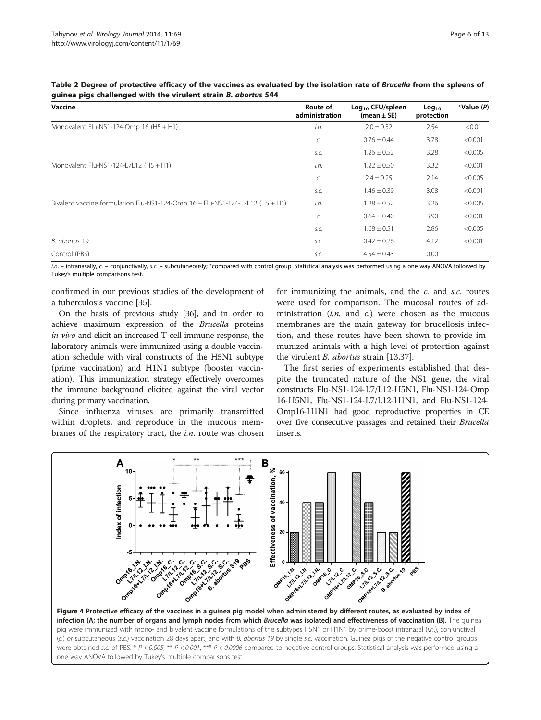| Vaccine                                                                       | Route of<br>administration | $Log10$ CFU/spleen<br>(mean $\pm$ SE) | Log <sub>10</sub><br>protection | *Value (P) |
|-------------------------------------------------------------------------------|----------------------------|---------------------------------------|---------------------------------|------------|
| Monovalent Flu-NS1-124-Omp 16 (H5 + H1)                                       | i.n.                       | $2.0 \pm 0.52$                        | 2.54                            | < 0.01     |
|                                                                               | С.                         | $0.76 \pm 0.44$                       | 3.78                            | < 0.001    |
|                                                                               | S.C.                       | $1.26 \pm 0.52$                       | 3.28                            | < 0.005    |
| Monovalent Flu-NS1-124-L7L12 (H5 + H1)                                        | i.n.                       | $1.22 \pm 0.50$                       | 3.32                            | < 0.001    |
|                                                                               | С.                         | $2.4 \pm 0.25$                        | 2.14                            | < 0.005    |
|                                                                               | S.C.                       | $1.46 \pm 0.39$                       | 3.08                            | < 0.001    |
| Bivalent vaccine formulation Flu-NS1-124-Omp 16 + Flu-NS1-124-L7L12 (H5 + H1) | i.n.                       | $1.28 \pm 0.52$                       | 3.26                            | < 0.005    |
|                                                                               | С.                         | $0.64 \pm 0.40$                       | 3.90                            | < 0.001    |
|                                                                               | S.C.                       | $1.68 \pm 0.51$                       | 2.86                            | < 0.005    |
| B. abortus 19                                                                 | S.C.                       | $0.42 \pm 0.26$                       | 4.12                            | < 0.001    |
| Control (PBS)                                                                 | S.C.                       | $4.54 \pm 0.43$                       | 0.00                            |            |

<span id="page-5-0"></span>Table 2 Degree of protective efficacy of the vaccines as evaluated by the isolation rate of Brucella from the spleens of guinea pigs challenged with the virulent strain B. abortus 544

i.n. - intranasally, c. - conjunctivally, s.c. - subcutaneously; \*compared with control group. Statistical analysis was performed using a one way ANOVA followed by Tukey's multiple comparisons test.

confirmed in our previous studies of the development of a tuberculosis vaccine [\[35](#page-12-0)].

On the basis of previous study [\[36\]](#page-12-0), and in order to achieve maximum expression of the Brucella proteins in vivo and elicit an increased T-cell immune response, the laboratory animals were immunized using a double vaccination schedule with viral constructs of the Н5N1 subtype (prime vaccination) and H1N1 subtype (booster vaccination). This immunization strategy effectively overcomes the immune background elicited against the viral vector during primary vaccination.

Since influenza viruses are primarily transmitted within droplets, and reproduce in the mucous membranes of the respiratory tract, the  $i.n$ . route was chosen for immunizing the animals, and the  $c$ . and  $s.c$ . routes were used for comparison. The mucosal routes of administration  $(i.n.$  and  $c.)$  were chosen as the mucous membranes are the main gateway for brucellosis infection, and these routes have been shown to provide immunized animals with a high level of protection against the virulent *B. abortus* strain [[13,](#page-11-0)[37\]](#page-12-0).

The first series of experiments established that despite the truncated nature of the NS1 gene, the viral constructs Flu-NS1-124-L7/L12-H5N1, Flu-NS1-124-Omp 16-H5N1, Flu-NS1-124-L7/L12-H1N1, and Flu-NS1-124- Omp16-H1N1 had good reproductive properties in CE over five consecutive passages and retained their Brucella inserts.



pig were immunized with mono- and bivalent vaccine formulations of the subtypes H5N1 or H1N1 by prime-boost intranasal (i.n.), conjunctival (c.) or subcutaneous (s.c.) vaccination 28 days apart, and with B. abortus 19 by single s.c. vaccination. Guinea pigs of the negative control groups were obtained s.c. of PBS. \* P < 0.005, \*\* P < 0.001, \*\*\* P < 0.0006 compared to negative control groups. Statistical analysis was performed using a one way ANOVA followed by Tukey's multiple comparisons test.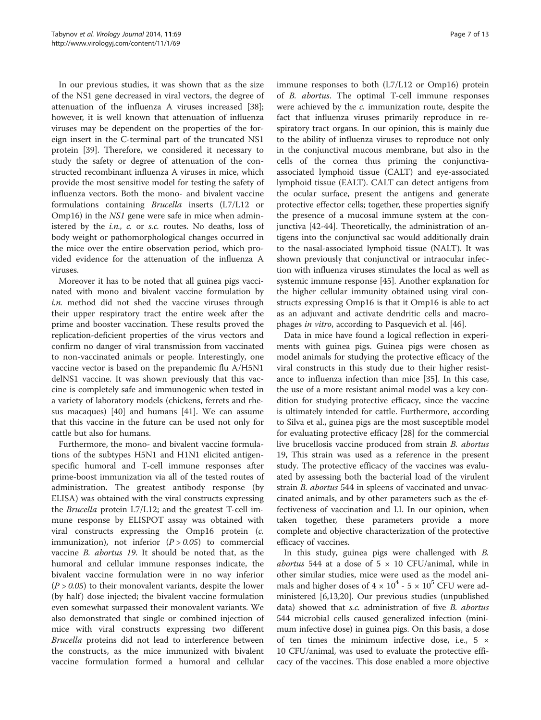In our previous studies, it was shown that as the size of the NS1 gene decreased in viral vectors, the degree of attenuation of the influenza A viruses increased [\[38](#page-12-0)]; however, it is well known that attenuation of influenza viruses may be dependent on the properties of the foreign insert in the C-terminal part of the truncated NS1 protein [\[39](#page-12-0)]. Therefore, we considered it necessary to study the safety or degree of attenuation of the constructed recombinant influenza A viruses in mice, which provide the most sensitive model for testing the safety of influenza vectors. Both the mono- and bivalent vaccine formulations containing Brucella inserts (L7/L12 or Omp16) in the NS1 gene were safe in mice when administered by the  $i.n., c.$  or  $s.c.$  routes. No deaths, loss of body weight or pathomorphological changes occurred in the mice over the entire observation period, which provided evidence for the attenuation of the influenza A viruses.

Moreover it has to be noted that all guinea pigs vaccinated with mono and bivalent vaccine formulation by i.n. method did not shed the vaccine viruses through their upper respiratory tract the entire week after the prime and booster vaccination. These results proved the replication-deficient properties of the virus vectors and confirm no danger of viral transmission from vaccinated to non-vaccinated animals or people. Interestingly, one vaccine vector is based on the prepandemic flu A/H5N1 delNS1 vaccine. It was shown previously that this vaccine is completely safe and immunogenic when tested in a variety of laboratory models (chickens, ferrets and rhesus macaques) [\[40](#page-12-0)] and humans [[41\]](#page-12-0). We can assume that this vaccine in the future can be used not only for cattle but also for humans.

Furthermore, the mono- and bivalent vaccine formulations of the subtypes Н5N1 and H1N1 elicited antigenspecific humoral and T-cell immune responses after prime-boost immunization via all of the tested routes of administration. The greatest antibody response (by ELISA) was obtained with the viral constructs expressing the Brucella protein L7/L12; and the greatest T-cell immune response by ELISPOT assay was obtained with viral constructs expressing the Omp16 protein (c. immunization), not inferior  $(P > 0.05)$  to commercial vaccine B. abortus 19. It should be noted that, as the humoral and cellular immune responses indicate, the bivalent vaccine formulation were in no way inferior  $(P > 0.05)$  to their monovalent variants, despite the lower (by half) dose injected; the bivalent vaccine formulation even somewhat surpassed their monovalent variants. We also demonstrated that single or combined injection of mice with viral constructs expressing two different Brucella proteins did not lead to interference between the constructs, as the mice immunized with bivalent vaccine formulation formed a humoral and cellular immune responses to both (L7/L12 or Omp16) protein of B. abortus. The optimal T-cell immune responses were achieved by the c. immunization route, despite the fact that influenza viruses primarily reproduce in respiratory tract organs. In our opinion, this is mainly due to the ability of influenza viruses to reproduce not only in the conjunctival mucous membrane, but also in the cells of the cornea thus priming the conjunctivaassociated lymphoid tissue (CALT) and eye-associated lymphoid tissue (EALT). CALT can detect antigens from the ocular surface, present the antigens and generate protective effector cells; together, these properties signify the presence of a mucosal immune system at the conjunctiva [[42](#page-12-0)-[44\]](#page-12-0). Theoretically, the administration of antigens into the conjunctival sac would additionally drain to the nasal-associated lymphoid tissue (NALT). It was shown previously that conjunctival or intraocular infection with influenza viruses stimulates the local as well as systemic immune response [\[45](#page-12-0)]. Another explanation for the higher cellular immunity obtained using viral constructs expressing Omp16 is that it Omp16 is able to act as an adjuvant and activate dendritic cells and macrophages in vitro, according to Pasquevich et al. [[46](#page-12-0)].

Data in mice have found a logical reflection in experiments with guinea pigs. Guinea pigs were chosen as model animals for studying the protective efficacy of the viral constructs in this study due to their higher resistance to influenza infection than mice [\[35\]](#page-12-0). In this case, the use of a more resistant animal model was a key condition for studying protective efficacy, since the vaccine is ultimately intended for cattle. Furthermore, according to Silva et al., guinea pigs are the most susceptible model for evaluating protective efficacy [\[28\]](#page-12-0) for the commercial live brucellosis vaccine produced from strain B. abortus 19, This strain was used as a reference in the present study. The protective efficacy of the vaccines was evaluated by assessing both the bacterial load of the virulent strain B. abortus 544 in spleens of vaccinated and unvaccinated animals, and by other parameters such as the effectiveness of vaccination and I.I. In our opinion, when taken together, these parameters provide a more complete and objective characterization of the protective efficacy of vaccines.

In this study, guinea pigs were challenged with B. *abortus* 544 at a dose of  $5 \times 10$  CFU/animal, while in other similar studies, mice were used as the model animals and higher doses of  $4 \times 10^4$  -  $5 \times 10^5$  CFU were administered [\[6,13,20](#page-11-0)]. Our previous studies (unpublished data) showed that s.c. administration of five B. abortus 544 microbial cells caused generalized infection (minimum infective dose) in guinea pigs. On this basis, a dose of ten times the minimum infective dose, i.e.,  $5 \times$ 10 CFU/animal, was used to evaluate the protective efficacy of the vaccines. This dose enabled a more objective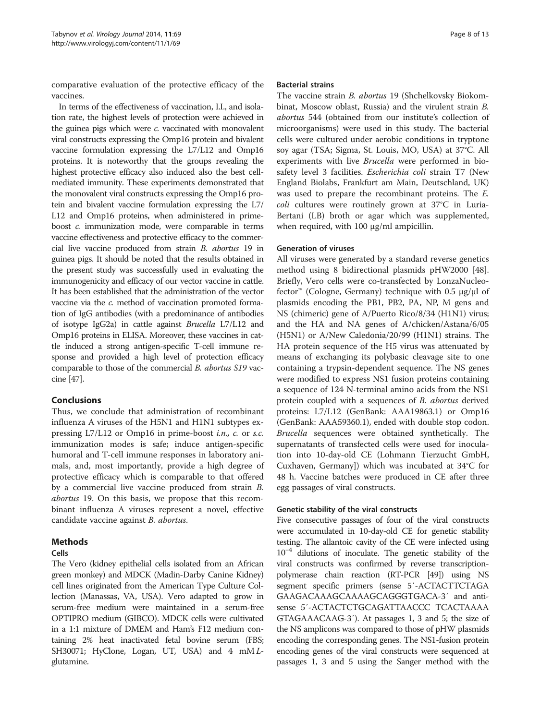<span id="page-7-0"></span>comparative evaluation of the protective efficacy of the vaccines.

In terms of the effectiveness of vaccination, I.I., and isolation rate, the highest levels of protection were achieved in the guinea pigs which were  $c$ . vaccinated with monovalent viral constructs expressing the Omp16 protein and bivalent vaccine formulation expressing the L7/L12 and Omp16 proteins. It is noteworthy that the groups revealing the highest protective efficacy also induced also the best cellmediated immunity. These experiments demonstrated that the monovalent viral constructs expressing the Omp16 protein and bivalent vaccine formulation expressing the L7/ L12 and Omp16 proteins, when administered in primeboost c. immunization mode, were comparable in terms vaccine effectiveness and protective efficacy to the commercial live vaccine produced from strain B. abortus 19 in guinea pigs. It should be noted that the results obtained in the present study was successfully used in evaluating the immunogenicity and efficacy of our vector vaccine in cattle. It has been established that the administration of the vector vaccine via the c. method of vaccination promoted formation of IgG antibodies (with a predominance of antibodies of isotype IgG2a) in cattle against Brucella L7/L12 and Omp16 proteins in ELISA. Moreover, these vaccines in cattle induced a strong antigen-specific T-cell immune response and provided a high level of protection efficacy comparable to those of the commercial B. abortus S19 vaccine [\[47\]](#page-12-0).

## Conclusions

Thus, we conclude that administration of recombinant influenza A viruses of the Н5N1 and H1N1 subtypes expressing L7/L12 or Omp16 in prime-boost *i.n.*, *c.* or *s.c.* immunization modes is safe; induce antigen-specific humoral and T-cell immune responses in laboratory animals, and, most importantly, provide a high degree of protective efficacy which is comparable to that offered by a commercial live vaccine produced from strain B. abortus 19. On this basis, we propose that this recombinant influenza A viruses represent a novel, effective candidate vaccine against B. abortus.

## Methods

## Cells

The Vero (kidney epithelial cells isolated from an African green monkey) and MDCK (Madin-Darby Canine Kidney) cell lines originated from the American Type Culture Collection (Manassas, VA, USA). Vero adapted to grow in serum-free medium were maintained in a serum-free OPTIPRO medium (GIBCO). MDCK cells were cultivated in a 1:1 mixture of DMEM and Ham's F12 medium containing 2% heat inactivated fetal bovine serum (FBS; SH30071; HyClone, Logan, UT, USA) and 4 mMLglutamine.

#### Bacterial strains

The vaccine strain B. abortus 19 (Shchelkovsky Biokombinat, Moscow oblast, Russia) and the virulent strain B. abortus 544 (obtained from our institute's collection of microorganisms) were used in this study. The bacterial cells were cultured under aerobic conditions in tryptone soy agar (TSA; Sigma, St. Louis, MO, USA) at 37°C. All experiments with live Brucella were performed in biosafety level 3 facilities. Escherichia coli strain T7 (New England Biolabs, Frankfurt am Main, Deutschland, UK) was used to prepare the recombinant proteins. The E. coli cultures were routinely grown at 37°C in Luria-Bertani (LB) broth or agar which was supplemented, when required, with 100 μg/ml ampicillin.

#### Generation of viruses

All viruses were generated by a standard reverse genetics method using 8 bidirectional plasmids pHW2000 [\[48](#page-12-0)]. Briefly, Vero cells were co-transfected by LonzaNucleofector<sup>™</sup> (Cologne, Germany) technique with 0.5 μg/μl of plasmids encoding the PB1, PB2, PA, NP, M gens and NS (chimeric) gene of А/Puerto Rico/8/34 (H1N1) virus; and the HA and NA genes of A/chicken/Astana/6/05 (H5N1) or А/New Caledonia/20/99 (H1N1) strains. The HA protein sequence of the H5 virus was attenuated by means of exchanging its polybasic cleavage site to one containing a trypsin-dependent sequence. The NS genes were modified to express NS1 fusion proteins containing a sequence of 124 N-terminal amino acids from the NS1 protein coupled with a sequences of B. abortus derived proteins: L7/L12 (GenBank: AAA19863.1) or Omp16 (GenBank: AAA59360.1), ended with double stop codon. Brucella sequences were obtained synthetically. The supernatants of transfected cells were used for inoculation into 10-day-old CE (Lohmann Tierzucht GmbH, Cuxhaven, Germany]) which was incubated at 34°С for 48 h. Vaccine batches were produced in CE after three egg passages of viral constructs.

## Genetic stability of the viral constructs

Five consecutive passages of four of the viral constructs were accumulated in 10-day-old CE for genetic stability testing. The allantoic cavity of the CE were infected using 10−<sup>4</sup> dilutions of inoculate. The genetic stability of the viral constructs was confirmed by reverse transcriptionpolymerase chain reaction (RT-PCR [\[49\]](#page-12-0)) using NS segment specific primers (sense 5′-ACTACTTCTAGA GAAGACAAAGCAAAAGCAGGGTGACA-3′ and antisense 5′-ACTACTCTGCAGATTAACCC TCACTAAAA GTAGAAACAAG-3′). At passages 1, 3 and 5; the size of the NS amplicons was compared to those of pHW plasmids encoding the corresponding genes. The NS1-fusion protein encoding genes of the viral constructs were sequenced at passages 1, 3 and 5 using the Sanger method with the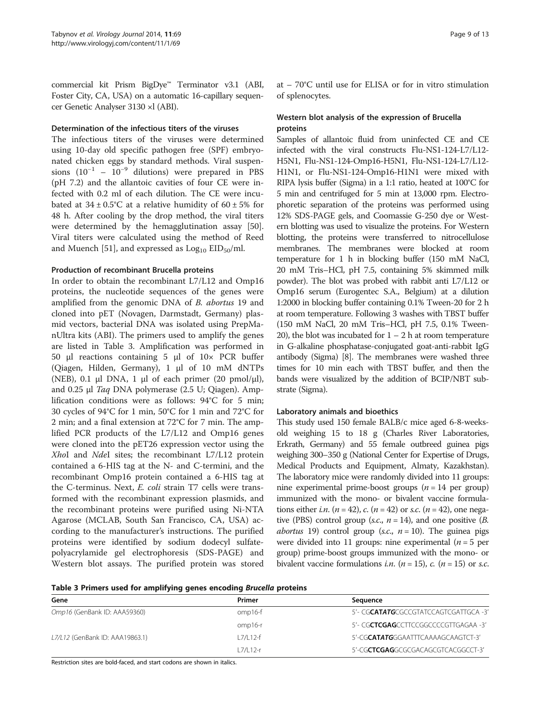commercial kit Prism BigDye™ Terminator v3.1 (ABI, Foster City, CA, USA) on a automatic 16-capillary sequencer Genetic Analyser 3130 ×l (ABI).

#### Determination of the infectious titers of the viruses

The infectious titers of the viruses were determined using 10-day old specific pathogen free (SPF) embryonated chicken eggs by standard methods. Viral suspensions  $(10^{-1} - 10^{-9})$  dilutions) were prepared in PBS (pH 7.2) and the allantoic cavities of four CE were infected with 0.2 ml of each dilution. The CE were incubated at  $34 \pm 0.5^{\circ}$ C at a relative humidity of  $60 \pm 5\%$  for 48 h. After cooling by the drop method, the viral titers were determined by the hemagglutination assay [\[50](#page-12-0)]. Viral titers were calculated using the method of Reed and Muench [[51\]](#page-12-0), and expressed as  $Log<sub>10</sub> EID<sub>50</sub>/ml$ .

## Production of recombinant Brucella proteins

In order to obtain the recombinant L7/L12 and Omp16 proteins, the nucleotide sequences of the genes were amplified from the genomic DNA of B. abortus 19 and cloned into рЕТ (Novagen, Darmstadt, Germany) plasmid vectors, bacterial DNA was isolated using PrepManUltra kits (ABI). The primers used to amplify the genes are listed in Table 3. Amplification was performed in 50 μl reactions containing 5 μl of 10× PCR buffer (Qiagen, Hilden, Germany), 1 μl of 10 mM dNTPs (NEB), 0.1 μl DNA, 1 μl of each primer (20 pmol/μl), and 0.25 μl Taq DNA polymerase (2.5 U; Qiagen). Amplification conditions were as follows: 94°C for 5 min; 30 cycles of 94°C for 1 min, 50°C for 1 min and 72°C for 2 min; and a final extension at 72°C for 7 min. The amplified PCR products of the L7/L12 and Omp16 genes were cloned into the рЕТ26 expression vector using the XhoI and NdeI sites; the recombinant L7/L12 protein contained a 6-HIS tag at the N- and C-termini, and the recombinant Omp16 protein contained a 6-HIS tag at the C-terminus. Next, E. coli strain T7 cells were transformed with the recombinant expression plasmids, and the recombinant proteins were purified using Ni-NTA Agarose (MCLAB, South San Francisco, CA, USA) according to the manufacturer's instructions. The purified proteins were identified by sodium dodecyl sulfatepolyacrylamide gel electrophoresis (SDS-PAGE) and Western blot assays. The purified protein was stored at – 70°C until use for ELISA or for in vitro stimulation of splenocytes.

## Western blot analysis of the expression of Brucella proteins

Samples of allantoic fluid from uninfected CE and CE infected with the viral constructs Flu-NS1-124-L7/L12- H5N1, Flu-NS1-124-Omp16-H5N1, Flu-NS1-124-L7/L12- H1N1, or Flu-NS1-124-Omp16-H1N1 were mixed with RIPA lysis buffer (Sigma) in a 1:1 ratio, heated at 100°С for 5 min and centrifuged for 5 min at 13,000 rpm. Electrophoretic separation of the proteins was performed using 12% SDS-PAGE gels, and Coomassie G-250 dye or Western blotting was used to visualize the proteins. For Western blotting, the proteins were transferred to nitrocellulose membranes. The membranes were blocked at room temperature for 1 h in blocking buffer (150 mМ NaCl, 20 mM Tris–HCl, pH 7.5, containing 5% skimmed milk powder). The blot was probed with rabbit anti L7/L12 or Omp16 serum (Eurogentec S.A., Belgium) at a dilution 1:2000 in blocking buffer containing 0.1% Tween-20 for 2 h at room temperature. Following 3 washes with TBST buffer (150 mM NaCl, 20 mM Tris–HCl, pH 7.5, 0.1% Tween-20), the blot was incubated for  $1 - 2$  h at room temperature in G-alkaline phosphatase-conjugated goat-anti-rabbit IgG antibody (Sigma) [[8](#page-11-0)]. The membranes were washed three times for 10 min each with TBST buffer, and then the bands were visualized by the addition of BCIP/NBT substrate (Sigma).

## Laboratory animals and bioethics

This study used 150 female BALB/c mice aged 6-8-weeksold weighing 15 to 18 g (Charles River Laboratories, Erkrath, Germany) and 55 female outbreed guinea pigs weighing 300–350 g (National Center for Expertise of Drugs, Medical Products and Equipment, Almaty, Kazakhstan). The laboratory mice were randomly divided into 11 groups: nine experimental prime-boost groups ( $n = 14$  per group) immunized with the mono- or bivalent vaccine formulations either *i.n.* ( $n = 42$ ), *c.* ( $n = 42$ ) or *s.c.* ( $n = 42$ ), one negative (PBS) control group (s.c.,  $n = 14$ ), and one positive (*B*. *abortus* 19) control group (*s.c.*,  $n = 10$ ). The guinea pigs were divided into 11 groups: nine experimental ( $n = 5$  per group) prime-boost groups immunized with the mono- or bivalent vaccine formulations *i.n.* ( $n = 15$ ), *c.* ( $n = 15$ ) or *s.c.* 

| Gene                            | Primer     | Sequence                                       |
|---------------------------------|------------|------------------------------------------------|
| Omp16 (GenBank ID: AAA59360)    | omp16-f    | 5'- CG <b>CATATG</b> CGCCGTATCCAGTCGATTGCA -3' |
|                                 | omp16-r    | 5'- CGCTCGAGCCTTCCGGCCCCGTTGAGAA -3'           |
| L7/L12 (GenBank ID: AAA19863.1) | $17/112-f$ | 5'-CG <b>CATATG</b> GGAATTTCAAAAGCAAGTCT-3'    |
|                                 | $17/112-r$ | 5'-CGCTCGAGGCGCGACAGCGTCACGGCCT-3'             |

Restriction sites are bold-faced, and start codons are shown in italics.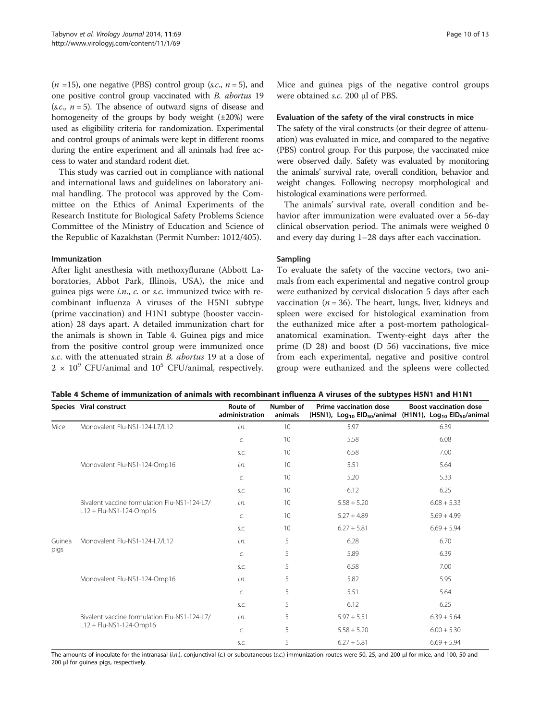$(n = 15)$ , one negative (PBS) control group (s.c.,  $n = 5$ ), and one positive control group vaccinated with B. abortus 19 (s.c.,  $n = 5$ ). The absence of outward signs of disease and homogeneity of the groups by body weight  $(\pm 20%)$  were used as eligibility criteria for randomization. Experimental and control groups of animals were kept in different rooms during the entire experiment and all animals had free access to water and standard rodent diet.

This study was carried out in compliance with national and international laws and guidelines on laboratory animal handling. The protocol was approved by the Committee on the Ethics of Animal Experiments of the Research Institute for Biological Safety Problems Science Committee of the Ministry of Education and Science of the Republic of Kazakhstan (Permit Number: 1012/405).

#### Immunization

After light anesthesia with methoxyflurane (Abbott Laboratories, Abbot Park, Illinois, USA), the mice and guinea pigs were  $i.n., c.$  or s.c. immunized twice with recombinant influenza A viruses of the Н5N1 subtype (prime vaccination) and H1N1 subtype (booster vaccination) 28 days apart. A detailed immunization chart for the animals is shown in Table 4. Guinea pigs and mice from the positive control group were immunized once s.c. with the attenuated strain B. abortus 19 at a dose of  $2 \times 10^9$  CFU/animal and  $10^5$  CFU/animal, respectively. Mice and guinea pigs of the negative control groups were obtained s.c. 200 μl of PBS.

#### Evaluation of the safety of the viral constructs in mice

The safety of the viral constructs (or their degree of attenuation) was evaluated in mice, and compared to the negative (PBS) control group. For this purpose, the vaccinated mice were observed daily. Safety was evaluated by monitoring the animals' survival rate, overall condition, behavior and weight changes. Following necropsy morphological and histological examinations were performed.

The animals' survival rate, overall condition and behavior after immunization were evaluated over a 56-day clinical observation period. The animals were weighed 0 and every day during 1–28 days after each vaccination.

## Sampling

To evaluate the safety of the vaccine vectors, two animals from each experimental and negative control group were euthanized by cervical dislocation 5 days after each vaccination ( $n = 36$ ). The heart, lungs, liver, kidneys and spleen were excised for histological examination from the euthanized mice after a post-mortem pathologicalanatomical examination. Twenty-eight days after the prime (D 28) and boost (D 56) vaccinations, five mice from each experimental, negative and positive control group were euthanized and the spleens were collected

|  |  |  | Table 4 Scheme of immunization of animals with recombinant influenza A viruses of the subtypes H5N1 and H1N1 |  |  |  |
|--|--|--|--------------------------------------------------------------------------------------------------------------|--|--|--|
|--|--|--|--------------------------------------------------------------------------------------------------------------|--|--|--|

|        | Species Viral construct                                                   | Route of<br>administration                                                                     | Number of<br>animals                                                                                 | Prime vaccination dose | <b>Boost vaccination dose</b><br>(H5N1), Log <sub>10</sub> EID <sub>50</sub> /animal (H1N1), Log <sub>10</sub> EID <sub>50</sub> /animal |
|--------|---------------------------------------------------------------------------|------------------------------------------------------------------------------------------------|------------------------------------------------------------------------------------------------------|------------------------|------------------------------------------------------------------------------------------------------------------------------------------|
| Mice   | Monovalent Flu-NS1-124-L7/L12                                             | i.n.                                                                                           | 10                                                                                                   | 5.97                   | 6.39                                                                                                                                     |
|        |                                                                           | C.                                                                                             | 10                                                                                                   | 5.58                   | 6.08                                                                                                                                     |
|        |                                                                           | S.C.                                                                                           | 10                                                                                                   | 6.58                   | 7.00                                                                                                                                     |
|        | Monovalent Flu-NS1-124-Omp16                                              | i.n.                                                                                           | 10                                                                                                   | 5.51                   | 5.64                                                                                                                                     |
|        |                                                                           | C.                                                                                             | 10                                                                                                   | 5.20                   | 5.33                                                                                                                                     |
|        |                                                                           | S.C.                                                                                           | 10                                                                                                   | 6.12                   | 6.25                                                                                                                                     |
|        | Bivalent vaccine formulation Flu-NS1-124-L7/<br>$L12 + Flu-NS1-124-Opp16$ | i.n.                                                                                           | 10                                                                                                   | $5.58 + 5.20$          | $6.08 + 5.33$                                                                                                                            |
|        |                                                                           | C.                                                                                             | 10                                                                                                   | $5.27 + 4.89$          | $5.69 + 4.99$                                                                                                                            |
|        |                                                                           | S.C.                                                                                           | 10                                                                                                   | $6.27 + 5.81$          | $6.69 + 5.94$                                                                                                                            |
| Guinea | Monovalent Flu-NS1-124-L7/L12                                             | 5<br>i.n.<br>5<br>C.<br>5<br>S.C.<br>5<br>i.n.<br>5<br>C.<br>5<br>S.C.<br>5<br>i.n.<br>5<br>C. |                                                                                                      | 6.28                   | 6.70                                                                                                                                     |
| pigs   |                                                                           |                                                                                                | 5.89<br>6.58<br>5.82<br>5.51<br>6.12<br>$5.97 + 5.51$<br>$5.58 + 5.20$<br>5<br>$6.27 + 5.81$<br>S.C. | 6.39                   |                                                                                                                                          |
|        |                                                                           |                                                                                                |                                                                                                      |                        | 7.00                                                                                                                                     |
|        | Monovalent Flu-NS1-124-Omp16                                              |                                                                                                |                                                                                                      |                        | 5.95                                                                                                                                     |
|        |                                                                           |                                                                                                |                                                                                                      |                        | 5.64                                                                                                                                     |
|        |                                                                           |                                                                                                |                                                                                                      |                        | 6.25                                                                                                                                     |
|        | Bivalent vaccine formulation Flu-NS1-124-L7/                              |                                                                                                |                                                                                                      |                        | $6.39 + 5.64$                                                                                                                            |
|        | $L12 + Flu-NS1-124-Omp16$                                                 |                                                                                                |                                                                                                      |                        | $6.00 + 5.30$                                                                                                                            |
|        |                                                                           |                                                                                                |                                                                                                      |                        | $6.69 + 5.94$                                                                                                                            |

The amounts of inoculate for the intranasal (i.n.), conjunctival (c.) or subcutaneous (s.c.) immunization routes were 50, 25, and 200 <sup>μ</sup>l for mice, and 100, 50 and 200 μl for guinea pigs, respectively.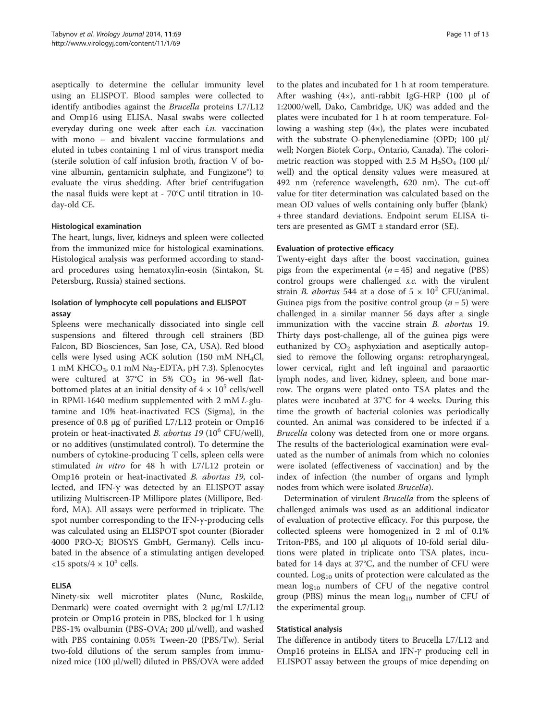aseptically to determine the cellular immunity level using an ELISPOT. Blood samples were collected to identify antibodies against the Brucella proteins L7/L12 and Omp16 using ELISA. Nasal swabs were collected everyday during one week after each *i.n.* vaccination with mono – and bivalent vaccine formulations and eluted in tubes containing 1 ml of virus transport media (sterile solution of calf infusion broth, fraction V of bovine albumin, gentamicin sulphate, and Fungizone®) to evaluate the virus shedding. After brief centrifugation the nasal fluids were kept at - 70°C until titration in 10 day-old CE.

#### Histological examination

The heart, lungs, liver, kidneys and spleen were collected from the immunized mice for histological examinations. Histological analysis was performed according to standard procedures using hematoxylin-eosin (Sintakon, St. Petersburg, Russia) stained sections.

## Isolation of lymphocyte cell populations and ELISPOT assay

Spleens were mechanically dissociated into single cell suspensions and filtered through cell strainers (BD Falcon, BD Biosciences, San Jose, CA, USA). Red blood cells were lysed using ACK solution (150 mM NH<sub>4</sub>Cl, 1 mM KHCO<sub>3</sub>, 0.1 mM Na<sub>2</sub>-EDTA, pH 7.3). Splenocytes were cultured at  $37^{\circ}$ C in  $5\%$  CO<sub>2</sub> in 96-well flatbottomed plates at an initial density of  $4 \times 10^5$  cells/well in RPMI-1640 medium supplemented with 2 mM L-glutamine and 10% heat-inactivated FCS (Sigma), in the presence of 0.8 μg of purified L7/L12 protein or Omp16 protein or heat-inactivated B. abortus 19 ( $10^6$  CFU/well), or no additives (unstimulated control). To determine the numbers of cytokine-producing T cells, spleen cells were stimulated in vitro for 48 h with L7/L12 protein or Omp16 protein or heat-inactivated B. abortus 19, collected, and IFN-γ was detected by an ELISPOT assay utilizing Multiscreen-IP Millipore plates (Millipore, Bedford, MA). All assays were performed in triplicate. The spot number corresponding to the IFN-γ-producing cells was calculated using an ELISPOT spot counter (Biorader 4000 PRO-X; BIOSYS GmbH, Germany). Cells incubated in the absence of a stimulating antigen developed  $<$ 15 spots/4  $\times$  10<sup>5</sup> cells.

## ELISA

Ninety-six well microtiter plates (Nunc, Roskilde, Denmark) were coated overnight with 2 μg/ml L7/L12 protein or Omp16 protein in PBS, blocked for 1 h using PBS-1% ovalbumin (PBS-OVA; 200 μl/well), and washed with PBS containing 0.05% Tween-20 (PBS/Tw). Serial two-fold dilutions of the serum samples from immunized mice (100 μl/well) diluted in PBS/OVA were added

to the plates and incubated for 1 h at room temperature. After washing (4×), anti-rabbit IgG-HRP (100 μl of 1:2000/well, Dako, Cambridge, UK) was added and the plates were incubated for 1 h at room temperature. Following a washing step  $(4x)$ , the plates were incubated with the substrate O-phenylenediamine (OPD; 100 μl/ well; Norgen Biotek Corp., Ontario, Canada). The colorimetric reaction was stopped with 2.5 M  $H_2SO_4$  (100 μl/ well) and the optical density values were measured at 492 nm (reference wavelength, 620 nm). The cut-off value for titer determination was calculated based on the mean OD values of wells containing only buffer (blank) + three standard deviations. Endpoint serum ELISA titers are presented as GMT ± standard error (SE).

#### Evaluation of protective efficacy

Twenty-eight days after the boost vaccination, guinea pigs from the experimental  $(n = 45)$  and negative (PBS) control groups were challenged s.c. with the virulent strain *B. abortus* 544 at a dose of  $5 \times 10^2$  CFU/animal. Guinea pigs from the positive control group  $(n = 5)$  were challenged in a similar manner 56 days after a single immunization with the vaccine strain B. abortus 19. Thirty days post-challenge, all of the guinea pigs were euthanized by  $CO<sub>2</sub>$  asphyxiation and aseptically autopsied to remove the following organs: retropharyngeal, lower cervical, right and left inguinal and paraaortic lymph nodes, and liver, kidney, spleen, and bone marrow. The organs were plated onto TSA plates and the plates were incubated at 37°С for 4 weeks. During this time the growth of bacterial colonies was periodically counted. An animal was considered to be infected if a Brucella colony was detected from one or more organs. The results of the bacteriological examination were evaluated as the number of animals from which no colonies were isolated (effectiveness of vaccination) and by the index of infection (the number of organs and lymph nodes from which were isolated Brucella).

Determination of virulent Brucella from the spleens of challenged animals was used as an additional indicator of evaluation of protective efficacy. For this purpose, the collected spleens were homogenized in 2 ml of 0.1% Triton-PBS, and 100 μl aliquots of 10-fold serial dilutions were plated in triplicate onto TSA plates, incubated for 14 days at 37°C, and the number of CFU were counted.  $Log_{10}$  units of protection were calculated as the mean  $log_{10}$  numbers of CFU of the negative control group (PBS) minus the mean  $log_{10}$  number of CFU of the experimental group.

## Statistical analysis

The difference in antibody titers to Brucella L7/L12 and Omp16 proteins in ELISA and IFN-ץ producing cell in ELISPOT assay between the groups of mice depending on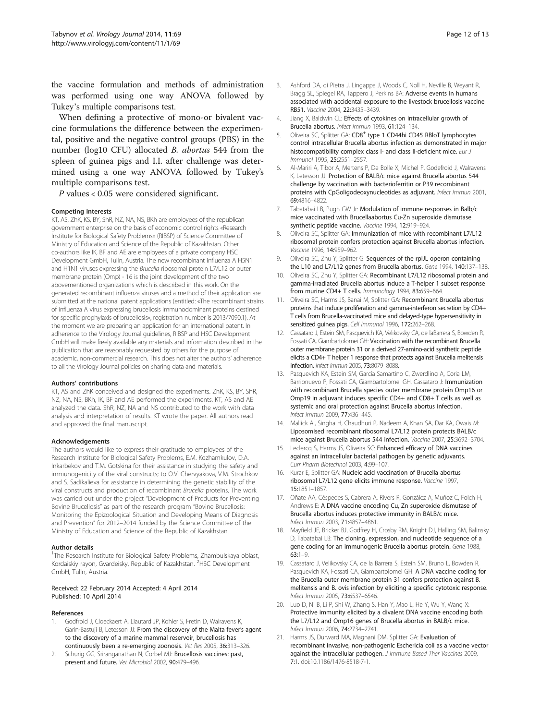<span id="page-11-0"></span>the vaccine formulation and methods of administration was performed using one way ANOVA followed by Tukey's multiple comparisons test.

When defining a protective of mono-or bivalent vaccine formulations the difference between the experimental, positive and the negative control groups (PBS) in the number (log10 CFU) allocated B. abortus 544 from the spleen of guinea pigs and I.I. after challenge was determined using a one way ANOVA followed by Tukey's multiple comparisons test.

P values < 0.05 were considered significant.

#### Competing interests

KT, AS, ZhK, KS, BY, ShR, NZ, NA, NS, BKh are employees of the republican government enterprise on the basis of economic control rights «Research Institute for Biological Safety Problems» (RIBSP) of Science Committee of Ministry of Education and Science of the Republic of Kazakhstan. Other co-authors like IK, BF and AE are employees of a private company HSC Development GmbH, Tulln, Austria. The new recombinant influenza A H5N1 and H1N1 viruses expressing the Brucella ribosomal protein L7/L12 or outer membrane protein (Omp) - 16 is the joint development of the two abovementioned organizations which is described in this work. On the generated recombinant influenza viruses and a method of their application are submitted at the national patent applications (entitled: «The recombinant strains of influenza A virus expressing brucellosis immunodominant proteins destined for specific prophylaxis of brucellosis», registration number is 2013/7090.1). At the moment we are preparing an application for an international patent. In adherence to the Virology Journal guidelines, RIBSP and HSC Development GmbH will make freely available any materials and information described in the publication that are reasonably requested by others for the purpose of academic, non-commercial research. This does not alter the authors' adherence to all the Virology Journal policies on sharing data and materials.

#### Authors' contributions

KT, AS and ZhK conceived and designed the experiments. ZhK, KS, BY, ShR, NZ, NA, NS, BKh, IK, BF and AE performed the experiments. KT, AS and AE analyzed the data. ShR, NZ, NA and NS contributed to the work with data analysis and interpretation of results. KT wrote the paper. All authors read and approved the final manuscript.

#### Acknowledgements

The authors would like to express their gratitude to employees of the Research Institute for Biological Safety Problems, E.M. Kozhamkulov, D.A. Inkarbekov and T.M. Gotskina for their assistance in studying the safety and immunogenicity of the viral constructs; to O.V. Chervyakova, V.M. Strochkov and S. Sadikalieva for assistance in determining the genetic stability of the viral constructs and production of recombinant Brucella proteins. The work was carried out under the project "Development of Products for Preventing Bovine Brucellosis" as part of the research program "Bovine Brucellosis: Monitoring the Epizoological Situation and Developing Means of Diagnosis and Prevention" for 2012–2014 funded by the Science Committee of the Ministry of Education and Science of the Republic of Kazakhstan.

#### Author details

<sup>1</sup>The Research Institute for Biological Safety Problems, Zhambulskaya oblast, Kordaiskiy rayon, Gvardeisky, Republic of Kazakhstan. <sup>2</sup>HSC Development GmbH, Tulln, Austria.

#### Received: 22 February 2014 Accepted: 4 April 2014 Published: 10 April 2014

#### References

- Godfroid J, Cloeckaert A, Liautard JP, Kohler S, Fretin D, Walravens K, Garin-Bastuji B, Letesson JJ: From the discovery of the Malta fever's agent to the discovery of a marine mammal reservoir, brucellosis has continuously been a re-emerging zoonosis. Vet Res 2005, 36:313–326.
- 2. Schurig GG, Sriranganathan N, Corbel MJ: Brucellosis vaccines: past, present and future. Vet Microbiol 2002, 90:479–496.
- 3. Ashford DA, di Pietra J, Lingappa J, Woods C, Noll H, Neville B, Weyant R, Bragg SL, Spiegel RA, Tappero J, Perkins BA: Adverse events in humans associated with accidental exposure to the livestock brucellosis vaccine RB51. Vaccine 2004, 22:3435–3439.
- 4. Jiang X, Baldwin CL: Effects of cytokines on intracellular growth of Brucella abortus. Infect Immun 1993, 61:124–134.
- 5. Oliveira SC, Splitter GA: CD8<sup>+</sup> type 1 CD44hi CD45 RBloT lymphocytes control intracellular Brucella abortus infection as demonstrated in major histocompatibility complex class I- and class II-deficient mice. Eur J Immunol 1995, 25:2551–2557.
- 6. Al-Mariri A, Tibor A, Mertens P, De Bolle X, Michel P, Godefroid J, Walravens K, Letesson, JJ: Protection of BALB/c mice against Brucella abortus 544 challenge by vaccination with bacterioferritin or P39 recombinant proteins with CpGoligodeoxynucleotides as adjuvant. Infect Immun 2001, 69:4816–4822.
- 7. Tabatabai LB, Pugh GW Jr: Modulation of immune responses in Balb/c mice vaccinated with Brucellaabortus Cu-Zn superoxide dismutase synthetic peptide vaccine. Vaccine 1994, 12:919–924.
- 8. Oliveira SC, Splitter GA: Immunization of mice with recombinant L7/L12 ribosomal protein confers protection against Brucella abortus infection. Vaccine 1996, 14:959–962.
- Oliveira SC, Zhu Y, Splitter G: Sequences of the rplJL operon containing the L10 and L7/L12 genes from Brucella abortus. Gene 1994, 140:137–138.
- 10. Oliveira SC, Zhu Y, Splitter GA: Recombinant L7/L12 ribosomal protein and gamma-irradiated Brucella abortus induce a T-helper 1 subset response from murine CD4+ T cells. Immunology 1994, 83:659–664.
- 11. Oliveira SC, Harms JS, Banai M, Splitter GA: Recombinant Brucella abortus proteins that induce proliferation and gamma-interferon secretion by CD4+ T cells from Brucella-vaccinated mice and delayed-type hypersensitivity in sensitized guinea pigs. Cell Immunol 1996, 172:262-268.
- 12. Cassataro J, Estein SM, Pasquevich KA, Velikovsky CA, de laBarrera S, Bowden R, Fossati CA, Giambartolomei GH: Vaccination with the recombinant Brucella outer membrane protein 31 or a derived 27-amino-acid synthetic peptide elicits a CD4+ T helper 1 response that protects against Brucella melitensis infection. Infect Immun 2005, 73:8079–8088.
- 13. Pasquevich KA, Estein SM, García Samartino C, Zwerdling A, Coria LM, Barrionuevo P, Fossati CA, Giambartolomei GH, Cassataro J: Immunization with recombinant Brucella species outer membrane protein Omp16 or Omp19 in adjuvant induces specific CD4+ and CD8+ T cells as well as systemic and oral protection against Brucella abortus infection. Infect Immun 2009, 77:436–445.
- 14. Mallick AI, Singha H, Chaudhuri P, Nadeem A, Khan SA, Dar KA, Owais M: Liposomised recombinant ribosomal L7/L12 protein protects BALB/c mice against Brucella abortus 544 infection. Vaccine 2007, 25:3692–3704.
- 15. Leclercq S, Harms JS, Oliveira SC: Enhanced efficacy of DNA vaccines against an intracellular bacterial pathogen by genetic adjuvants. Curr Pharm Biotechnol 2003, 4:99–107.
- 16. Kurar E, Splitter GA: Nucleic acid vaccination of Brucella abortus ribosomal L7/L12 gene elicits immune response. Vaccine 1997, 15:1851–1857.
- 17. Oñate AA, Céspedes S, Cabrera A, Rivers R, González A, Muñoz C, Folch H, Andrews E: A DNA vaccine encoding Cu, Zn superoxide dismutase of Brucella abortus induces protective immunity in BALB/c mice. Infect Immun 2003, 71:4857–4861.
- 18. Mayfield JE, Bricker BJ, Godfrey H, Crosby RM, Knight DJ, Halling SM, Balinsky D, Tabatabai LB: The cloning, expression, and nucleotide sequence of a gene coding for an immunogenic Brucella abortus protein. Gene 1988, 63:1–9.
- 19. Cassataro J, Velikovsky CA, de la Barrera S, Estein SM, Bruno L, Bowden R, Pasquevich KA, Fossati CA, Giambartolomei GH: A DNA vaccine coding for the Brucella outer membrane protein 31 confers protection against B. melitensis and B. ovis infection by eliciting a specific cytotoxic response. Infect Immun 2005, 73:6537–6546.
- 20. Luo D, Ni B, Li P, Shi W, Zhang S, Han Y, Mao L, He Y, Wu Y, Wang X: Protective immunity elicited by a divalent DNA vaccine encoding both the L7/L12 and Omp16 genes of Brucella abortus in BALB/c mice. Infect Immun 2006, 74:2734–2741.
- 21. Harms JS, Durward MA, Magnani DM, Splitter GA: Evaluation of recombinant invasive, non-pathogenic Eschericia coli as a vaccine vector against the intracellular pathogen. J Immune Based Ther Vaccines 2009, 7:1. doi:10.1186/1476-8518-7-1.